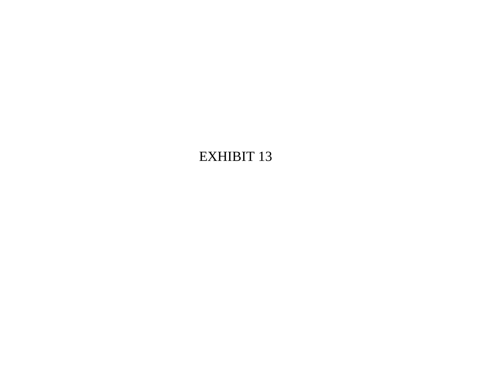# **EXHIBIT 13**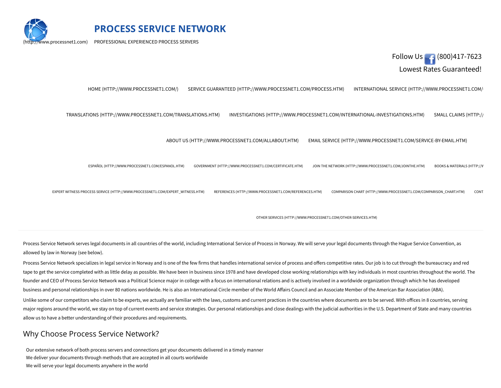

**PROCESS SERVICE NETWORK**

PROFESSIONAL EXPERIENCED PROCESS SERVERS



ABOUT US [\(HTTP://WWW.PROCESSNET1.COM/ALLABOUT.HTM\)](http://www.processnet1.com/allabout.htm) EMAIL SERVICE [\(HTTP://WWW.PROCESSNET1.COM/SERVICE-BY-EMAIL.HTM\)](http://www.processnet1.com/service-by-email.htm)<br>. EXPERT WITNESS PROCESS SERVICE [\(HTTP://WWW.PROCESSNET1.COM/EXPERT\\_WITNESS.HTM\)](http://www.processnet1.com/expert_witness.htm) REFERENCES [\(HTTP://WWW.PROCESSNET1.COM/REFERENCES.HTM\)](http://www.processnet1.com/references.htm) COMPARISON CHART [\(HTTP://WWW.PROCESSNET1.COM/COMPARISON\\_CHART.HTM\)](http://www.processnet1.com/comparison_chart.htm) CONT. ESPAÑOL [\(HTTP://WWW.PROCESSNET1.COM/ESPANOL.HTM\)](http://www.processnet1.com/espanol.htm) GOVERNMENT [\(HTTP://WWW.PROCESSNET1.COM/CERTIFICATE.HTM\)](http://www.processnet1.com/certificate.htm) JOIN THE NETWORK [\(HTTP://WWW.PROCESSNET1.COM/JOINTHE.HTM\)](http://www.processnet1.com/jointhe.htm) BOOKS & [MATERIALS](http://www.processnet1.com/books.htm) (HTTP://W OTHER SERVICES [\(HTTP://WWW.PROCESSNET1.COM/OTHER-SERVICES.HTM\)](http://www.processnet1.com/other-services.htm) HOME [\(HTTP://WWW.PROCESSNET1.COM/\)](http://www.processnet1.com/) SERVICE GUARANTEED [\(HTTP://WWW.PROCESSNET1.COM/PROCESS.HTM\)](http://www.processnet1.com/process.htm) INTERNATIONAL SERVICE (HTTP://WWW.PROCESSNET1.COM/ TRANSLATIONS [\(HTTP://WWW.PROCESSNET1.COM/TRANSLATIONS.HTM\)](http://www.processnet1.com/translations.htm) INVESTIGATIONS [\(HTTP://WWW.PROCESSNET1.COM/INTERNATIONAL-INVESTIGATIONS.HTM\)](http://www.processnet1.com/international-investigations.htm) SMALL CLAIMS [\(HTTP://](http://www.processnet1.com/small.htm)

Process Service Network serves legal documents in all countries of the world, including International Service of Process in Norway. We will serve your legal documents through the Hague Service Convention, as allowed by law in Norway (see below).

Process Service Network specializes in legal service in Norway and is one of the few firms that handles international service of process and offers competitive rates. Our job is to cut through the bureaucracy and red tape to get the service completed with as little delay as possible. We have been in business since 1978 and have developed close working relationships with key individuals in most countries throughout the world. The founder and CEO of Process Service Network was a Political Science major in college with a focus on international relations and is actively involved in a worldwide organization through which he has developed business and personal relationships in over 80 nations worldwide. He is also an International Circle member of the World Affairs Council and an Associate Member of the American Bar Association (ABA).

Unlike some of our competitors who claim to be experts, we actually are familiar with the laws, customs and current practices in the countries where documents are to be served. With offices in 8 countries, serving major regions around the world, we stay on top of current events and service strategies. Our personal relationships and close dealings with the judicial authorities in the U.S. Department of State and many countries allow us to have a better understanding of their procedures and requirements.

#### Why Choose Process Service Network?

Our extensive network of both process servers and connections get your documents delivered in a timely manner We deliver your documents through methods that are accepted in all courts worldwide We will serve your legal documents anywhere in the world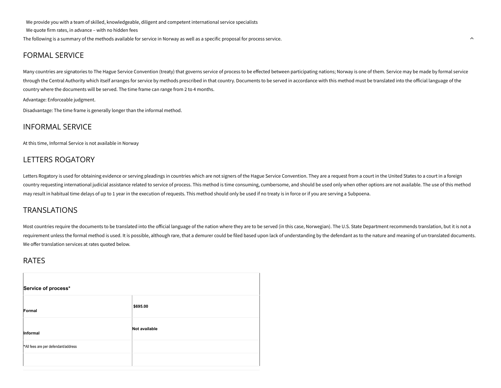We provide you with a team of skilled, knowledgeable, diligent and competent international service specialists We quote firm rates, in advance – with no hidden fees

The following is a summary of the methods available for service in Norway as well as a specific proposal for process service.

### FORMAL SERVICE

Many countries are signatories to The Hague Service Convention (treaty) that governs service of process to be effected between participating nations; Norway is one of them. Service may be made by formal service through the Central Authority which itself arranges for service by methods prescribed in that country. Documents to be served in accordance with this method must be translated into the oicial language of the country where the documents will be served. The time frame can range from 2 to 4 months.

 $\lambda$ 

Advantage: Enforceable judgment.

Disadvantage: The time frame is generally longer than the informal method.

#### INFORMAL SERVICE

At this time, Informal Service is not available in Norway

## LETTERS ROGATORY

Letters Rogatory is used for obtaining evidence or serving pleadings in countries which are not signers of the Hague Service Convention. They are a request from a court in the United States to a court in a foreign country requesting international judicial assistance related to service of process. This method is time consuming, cumbersome, and should be used only when other options are not available. The use of this method may result in habitual time delays of up to 1 year in the execution of requests. This method should only be used if no treaty is in force or if you are serving a Subpoena.

#### **TRANSLATIONS**

Most countries require the documents to be translated into the official language of the nation where they are to be served (in this case, Norwegian). The U.S. State Department recommends translation, but it is not a requirement unless the formal method is used. It is possible, although rare, that a demurer could be filed based upon lack of understanding by the defendant as to the nature and meaning of un-translated documents. We offer translation services at rates quoted below.

#### RATES

| Service of process*                 |               |
|-------------------------------------|---------------|
| Formal                              | \$695.00      |
| Informal                            | Not available |
| *All fees are per defendant/address |               |
|                                     |               |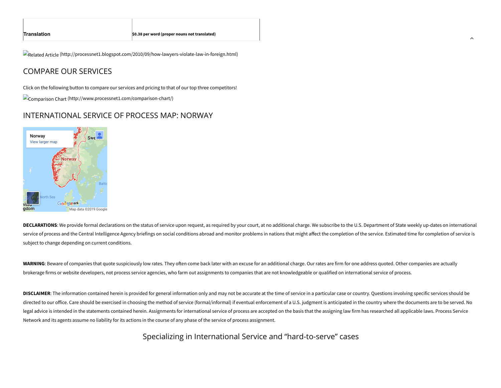Related Article [\(http://processnet1.blogspot.com/2010/09/how-lawyers-violate-law-in-foreign.html\)](http://processnet1.blogspot.com/2010/09/how-lawyers-violate-law-in-foreign.html)

# COMPARE OUR SERVICES

Click on the following button to compare our services and pricing to that of our top three competitors!

Comparison Chart [\(http://www.processnet1.com/comparison-chart/\)](http://www.processnet1.com/comparison-chart/)

#### INTERNATIONAL SERVICE OF PROCESS MAP: NORWAY



DECLARATIONS: We provide formal declarations on the status of service upon request, as required by your court, at no additional charge. We subscribe to the U.S. Department of State weekly up-dates on international service of process and the Central Intelligence Agency briefings on social conditions abroad and monitor problems in nations that might affect the completion of the service. Estimated time for completion of service is subject to change depending on current conditions.

 $\overline{\phantom{a}}$ 

WARNING: Beware of companies that quote suspiciously low rates. They often come back later with an excuse for an additional charge. Our rates are firm for one address quoted. Other companies are actually brokerage firms or website developers, not process service agencies, who farm out assignments to companies that are not knowledgeable or qualified on international service of process.

**DISCLAIMER**: The information contained herein is provided for general information only and may not be accurate at the time of service in a particular case or country. Questions involving specific services should be directed to our office. Care should be exercised in choosing the method of service (formal/informal) if eventual enforcement of a U.S. judgment is anticipated in the country where the documents are to be served. No legal advice is intended in the statements contained herein. Assignments for international service of process are accepted on the basis that the assigning law firm has researched all applicable laws. Process Service Network and its agents assume no liability for its actions in the course of any phase of the service of process assignment.

Specializing in International Service and "hard-to-serve" cases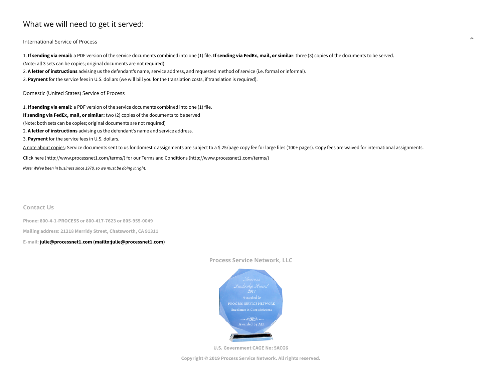# What we will need to get it served:

International Service of Process

1. If sending via email: a PDF version of the service documents combined into one (1) file. If sending via FedEx, mail, or similar: three (3) copies of the documents to be served. (Note: all 3 sets can be copies; original documents are not required) 2. **A letter of instructions** advising us the defendant's name, service address, and requested method of service (i.e. formal or informal). 3. **Payment** for the service fees in U.S. dollars (we will bill you for the translation costs, if translation is required). Domestic (United States) Service of Process 1. **If sending via email:** a PDF version of the service documents combined into one (1) file. **If sending via FedEx, mail, or similar:** two (2) copies of the documents to be served (Note: both sets can be copies; original documents are not required) 2. **A letter of instructions** advising us the defendant's name and service address. 3. **Payment** for the service fees in U.S. dollars.

A note about copies: Service documents sent to us for domestic assignments are subject to a \$.25/page copy fee for large files (100+ pages). Copy fees are waived for international assignments.

Click here [\(http://www.processnet1.com/terms/\)](http://www.processnet1.com/terms/) for our Terms and Conditions [\(http://www.processnet1.com/terms/\)](http://www.processnet1.com/terms/)

*Note: We've been in business since 1978, so we must be doing it right.*

**Contact Us**

**Phone: 800-4-1-PROCESS or 800-417-7623 or 805-955-0049**

**Mailing address: 21218 Merridy Street, Chatsworth, CA 91311**

**E-mail: julie@processnet1.com [\(mailto:julie@processnet1.com\)](mailto:julie@processnet1.com)**

#### **Process Service Network, LLC**

 $\lambda$ 



**U.S. Government CAGE No: 5ACG6**

**Copyright © 2019 Process Service Network. All rights reserved.**